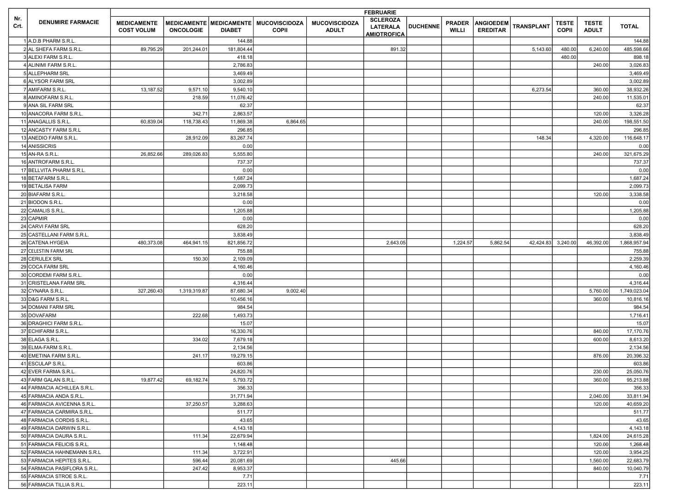|             |                                                           |                                         | <b>FEBRUARIE</b> |                       |                                                           |                                      |                                                          |                 |                               |                                     |                   |                              |                              |                       |
|-------------|-----------------------------------------------------------|-----------------------------------------|------------------|-----------------------|-----------------------------------------------------------|--------------------------------------|----------------------------------------------------------|-----------------|-------------------------------|-------------------------------------|-------------------|------------------------------|------------------------------|-----------------------|
| Nr.<br>Crt. | <b>DENUMIRE FARMACIE</b>                                  | <b>MEDICAMENTE</b><br><b>COST VOLUM</b> | <b>ONCOLOGIE</b> | <b>DIABET</b>         | MEDICAMENTE   MEDICAMENTE   MUCOVISCIDOZA<br><b>COPII</b> | <b>MUCOVISCIDOZA</b><br><b>ADULT</b> | <b>SCLEROZA</b><br><b>LATERALA</b><br><b>AMIOTROFICA</b> | <b>DUCHENNE</b> | <b>PRADER</b><br><b>WILLI</b> | <b>ANGIOEDEM</b><br><b>EREDITAR</b> | <b>TRANSPLANT</b> | <b>TESTE</b><br><b>COPII</b> | <b>TESTE</b><br><b>ADULT</b> | <b>TOTAL</b>          |
|             | 1 A.D.B PHARM S.R.L                                       |                                         |                  | 144.88                |                                                           |                                      |                                                          |                 |                               |                                     |                   |                              |                              | 144.88                |
|             | 2 AL SHEFA FARM S.R.L.                                    | 89,795.29                               | 201,244.01       | 181,804.44            |                                                           |                                      | 891.32                                                   |                 |                               |                                     | 5,143.60          | 480.00                       | 6,240.00                     | 485,598.66            |
|             | 3 ALEXI FARM S.R.L.                                       |                                         |                  | 418.18                |                                                           |                                      |                                                          |                 |                               |                                     |                   | 480.00                       |                              | 898.18                |
|             | 4 ALINIMI FARM S.R.L.                                     |                                         |                  | 2,786.83              |                                                           |                                      |                                                          |                 |                               |                                     |                   |                              | 240.00                       | 3,026.83              |
|             | 5 ALLEPHARM SRL                                           |                                         |                  | 3,469.49              |                                                           |                                      |                                                          |                 |                               |                                     |                   |                              |                              | 3,469.49              |
|             | 6 ALYSOR FARM SRL                                         |                                         |                  | 3,002.89              |                                                           |                                      |                                                          |                 |                               |                                     |                   |                              |                              | 3,002.89              |
|             | 7 AMIFARM S.R.L.                                          | 13,187.52                               | 9,571.10         | 9,540.10              |                                                           |                                      |                                                          |                 |                               |                                     | 6,273.54          |                              | 360.00                       | 38,932.26             |
|             | 8 AMINOFARM S.R.L.                                        |                                         | 218.59           | 11,076.42             |                                                           |                                      |                                                          |                 |                               |                                     |                   |                              | 240.00                       | 11,535.01             |
|             | 9 ANA SIL FARM SRL                                        |                                         |                  | 62.37                 |                                                           |                                      |                                                          |                 |                               |                                     |                   |                              |                              | 62.37                 |
|             | 10 ANACORA FARM S.R.L.                                    |                                         | 342.71           | 2,863.57              |                                                           |                                      |                                                          |                 |                               |                                     |                   |                              | 120.00                       | 3,326.28              |
|             | 11 ANAGALLIS S.R.L                                        | 60,839.04                               | 118,738.43       | 11,869.38             | 6,864.65                                                  |                                      |                                                          |                 |                               |                                     |                   |                              | 240.00                       | 198,551.50            |
|             | 12 ANCASTY FARM S.R.L                                     |                                         |                  | 296.85                |                                                           |                                      |                                                          |                 |                               |                                     |                   |                              |                              | 296.85                |
|             | 13 ANEDIO FARM S.R.L                                      |                                         | 28,912.09        | 83,267.74             |                                                           |                                      |                                                          |                 |                               |                                     | 148.34            |                              | 4,320.00                     | 116,648.17            |
|             | 14 ANISSICRIS                                             |                                         |                  | 0.00                  |                                                           |                                      |                                                          |                 |                               |                                     |                   |                              |                              | 0.00                  |
|             | 15 AN-RA S.R.L.                                           | 26,852.66                               | 289,026.83       | 5,555.80              |                                                           |                                      |                                                          |                 |                               |                                     |                   |                              | 240.00                       | 321,675.29            |
|             | 16 ANTROFARM S.R.L.                                       |                                         |                  | 737.37                |                                                           |                                      |                                                          |                 |                               |                                     |                   |                              |                              | 737.37                |
|             | 17 BELLVITA PHARM S.R.L.                                  |                                         |                  | 0.00                  |                                                           |                                      |                                                          |                 |                               |                                     |                   |                              |                              | 0.00                  |
|             | 18 BETAFARM S.R.L.                                        |                                         |                  | 1,687.24              |                                                           |                                      |                                                          |                 |                               |                                     |                   |                              |                              | 1,687.24              |
|             | 19 BETALISA FARM                                          |                                         |                  | 2,099.73              |                                                           |                                      |                                                          |                 |                               |                                     |                   |                              |                              | 2,099.73              |
|             | 20 BIAFARM S.R.L.                                         |                                         |                  | 3,218.58              |                                                           |                                      |                                                          |                 |                               |                                     |                   |                              | 120.00                       | 3,338.58              |
|             | 21 BIODON S.R.L.                                          |                                         |                  | 0.00                  |                                                           |                                      |                                                          |                 |                               |                                     |                   |                              |                              | 0.00                  |
|             | 22 CAMALIS S.R.L.                                         |                                         |                  | 1,205.88              |                                                           |                                      |                                                          |                 |                               |                                     |                   |                              |                              | 1,205.88              |
|             | 23 CAPMIR                                                 |                                         |                  | 0.00                  |                                                           |                                      |                                                          |                 |                               |                                     |                   |                              |                              | 0.00                  |
|             | 24 CARVI FARM SRL                                         |                                         |                  | 628.20                |                                                           |                                      |                                                          |                 |                               |                                     |                   |                              |                              | 628.20                |
|             | 25 CASTELLANI FARM S.R.L.                                 |                                         |                  | 3,838.49              |                                                           |                                      |                                                          |                 |                               |                                     |                   |                              |                              | 3,838.49              |
|             | 26 CATENA HYGEIA                                          | 480,373.08                              | 464,941.15       | 821,856.72            |                                                           |                                      | 2,643.05                                                 |                 | 1,224.57                      | 5,862.54                            | 42,424.83         | 3,240.00                     | 46,392.00                    | 1,868,957.94          |
|             | 27 CELESTIN FARM SRL                                      |                                         |                  | 755.88                |                                                           |                                      |                                                          |                 |                               |                                     |                   |                              |                              | 755.88                |
|             | 28 CERULEX SRL                                            |                                         | 150.30           | 2,109.09              |                                                           |                                      |                                                          |                 |                               |                                     |                   |                              |                              | 2,259.39              |
|             | 29 COCA FARM SRL                                          |                                         |                  | 4,160.46              |                                                           |                                      |                                                          |                 |                               |                                     |                   |                              |                              | 4,160.46              |
|             | 30 CORDEMI FARM S.R.L.                                    |                                         |                  | 0.00                  |                                                           |                                      |                                                          |                 |                               |                                     |                   |                              |                              | 0.00                  |
|             | 31 CRISTELANA FARM SRL                                    |                                         |                  | 4,316.44              |                                                           |                                      |                                                          |                 |                               |                                     |                   |                              |                              | 4,316.44              |
|             | 32 CYNARA S.R.L.                                          | 327,260.43                              | 1,319,319.87     | 87,680.34             | 9,002.40                                                  |                                      |                                                          |                 |                               |                                     |                   |                              | 5,760.00                     | 1,749,023.04          |
|             | 33 D&G FARM S.R.L.                                        |                                         |                  | 10,456.16             |                                                           |                                      |                                                          |                 |                               |                                     |                   |                              | 360.00                       | 10,816.16             |
|             | 34 DOMANI FARM SRL                                        |                                         |                  | 984.54                |                                                           |                                      |                                                          |                 |                               |                                     |                   |                              |                              | 984.54                |
|             | 35 DOVAFARM                                               |                                         | 222.68           | 1,493.73              |                                                           |                                      |                                                          |                 |                               |                                     |                   |                              |                              | 1,716.41              |
|             | 36 DRAGHICI FARM S.R.L.                                   |                                         |                  | 15.07                 |                                                           |                                      |                                                          |                 |                               |                                     |                   |                              |                              | 15.07                 |
|             | 37 ECHIFARM S.R.L.                                        |                                         |                  | 16,330.76             |                                                           |                                      |                                                          |                 |                               |                                     |                   |                              | 840.00                       | 17,170.76             |
|             | 38 ELAGA S.R.L.                                           |                                         | 334.02           | 7,679.18              |                                                           |                                      |                                                          |                 |                               |                                     |                   |                              | 600.00                       | 8,613.20              |
|             | 39 ELMA-FARM S.R.L.                                       |                                         |                  | 2,134.56              |                                                           |                                      |                                                          |                 |                               |                                     |                   |                              |                              | 2,134.56              |
|             | 40 EMETINA FARM S.R.L.                                    |                                         | 241.17           | 19,279.15             |                                                           |                                      |                                                          |                 |                               |                                     |                   |                              | 876.00                       |                       |
|             | 41 ESCULAP S.R.L.                                         |                                         |                  | 603.86                |                                                           |                                      |                                                          |                 |                               |                                     |                   |                              |                              | 20,396.32<br>603.86   |
|             | 42 EVER FARMA S.R.L.                                      |                                         |                  | 24,820.76             |                                                           |                                      |                                                          |                 |                               |                                     |                   |                              | 230.00                       | 25,050.76             |
|             | 43 FARM GALAN S.R.L.                                      | 19,877.42                               | 69,182.74        | 5,793.72              |                                                           |                                      |                                                          |                 |                               |                                     |                   |                              | 360.00                       | 95,213.88             |
|             | 44 FARMACIA ACHILLEA S.R.L.                               |                                         |                  | 356.33                |                                                           |                                      |                                                          |                 |                               |                                     |                   |                              |                              | 356.33                |
|             | 45 FARMACIA ANDA S.R.L.                                   |                                         |                  | 31,771.94             |                                                           |                                      |                                                          |                 |                               |                                     |                   |                              | 2,040.00                     | 33,811.94             |
|             |                                                           |                                         |                  |                       |                                                           |                                      |                                                          |                 |                               |                                     |                   |                              |                              |                       |
|             | 46 FARMACIA AVICENNA S.R.L.<br>47 FARMACIA CARMIRA S.R.L. |                                         | 37,250.57        | 3,288.63<br>511.77    |                                                           |                                      |                                                          |                 |                               |                                     |                   |                              | 120.00                       | 40,659.20             |
|             | 48 FARMACIA CORDIS S.R.L.                                 |                                         |                  |                       |                                                           |                                      |                                                          |                 |                               |                                     |                   |                              |                              | 511.77                |
|             |                                                           |                                         |                  | 43.65<br>4,143.18     |                                                           |                                      |                                                          |                 |                               |                                     |                   |                              |                              | 43.65                 |
|             | 49 FARMACIA DARWIN S.R.L.                                 |                                         |                  |                       |                                                           |                                      |                                                          |                 |                               |                                     |                   |                              |                              | 4,143.18              |
|             | 50 FARMACIA DAURA S.R.L.                                  |                                         | 111.34           | 22,679.94             |                                                           |                                      |                                                          |                 |                               |                                     |                   |                              | 1,824.00                     | 24,615.28             |
|             | 51 FARMACIA FELICIS S.R.L.                                |                                         |                  | 1,148.48              |                                                           |                                      |                                                          |                 |                               |                                     |                   |                              | 120.00                       | 1,268.48              |
|             | 52 FARMACIA HAHNEMANN S.R.L<br>53 FARMACIA HEPITES S.R.L. |                                         | 111.34<br>596.44 | 3,722.91<br>20,081.69 |                                                           |                                      | 445.66                                                   |                 |                               |                                     |                   |                              | 120.00<br>1,560.00           | 3,954.25<br>22,683.79 |
|             | 54 FARMACIA PASIFLORA S.R.L.                              |                                         | 247.42           | 8,953.37              |                                                           |                                      |                                                          |                 |                               |                                     |                   |                              | 840.00                       | 10,040.79             |
|             | 55 FARMACIA STROE S.R.L.                                  |                                         |                  | 7.71                  |                                                           |                                      |                                                          |                 |                               |                                     |                   |                              |                              | 7.71                  |
|             | 56 FARMACIA TILLIA S.R.L.                                 |                                         |                  | 223.11                |                                                           |                                      |                                                          |                 |                               |                                     |                   |                              |                              | 223.11                |
|             |                                                           |                                         |                  |                       |                                                           |                                      |                                                          |                 |                               |                                     |                   |                              |                              |                       |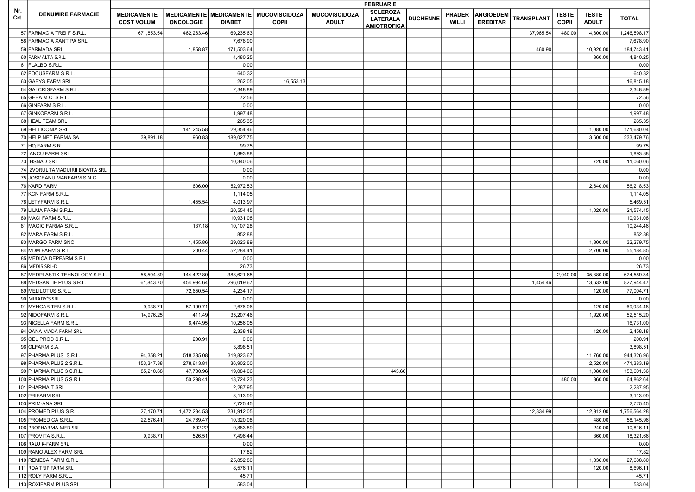|             | <b>DENUMIRE FARMACIE</b>          |                                         |                  |               |                                                           |                                      | <b>FEBRUARIE</b>                                         |                 |                               |                                     |                   |                              |                              |              |
|-------------|-----------------------------------|-----------------------------------------|------------------|---------------|-----------------------------------------------------------|--------------------------------------|----------------------------------------------------------|-----------------|-------------------------------|-------------------------------------|-------------------|------------------------------|------------------------------|--------------|
| Nr.<br>Crt. |                                   | <b>MEDICAMENTE</b><br><b>COST VOLUM</b> | <b>ONCOLOGIE</b> | <b>DIABET</b> | MEDICAMENTE   MEDICAMENTE   MUCOVISCIDOZA<br><b>COPII</b> | <b>MUCOVISCIDOZA</b><br><b>ADULT</b> | <b>SCLEROZA</b><br><b>LATERALA</b><br><b>AMIOTROFICA</b> | <b>DUCHENNE</b> | <b>PRADER</b><br><b>WILLI</b> | <b>ANGIOEDEM</b><br><b>EREDITAR</b> | <b>TRANSPLANT</b> | <b>TESTE</b><br><b>COPII</b> | <b>TESTE</b><br><b>ADULT</b> | <b>TOTAL</b> |
|             | 57 FARMACIA TREI F S.R.L.         | 671,853.54                              | 462,263.46       | 69,235.63     |                                                           |                                      |                                                          |                 |                               |                                     | 37,965.54         | 480.00                       | 4,800.00                     | 1,246,598.17 |
|             | 58 FARMACIA XANTIPA SRL           |                                         |                  | 7,678.90      |                                                           |                                      |                                                          |                 |                               |                                     |                   |                              |                              | 7,678.90     |
|             | 59 FARMADA SRL                    |                                         | 1,858.87         | 171,503.64    |                                                           |                                      |                                                          |                 |                               |                                     | 460.90            |                              | 10,920.00                    | 184,743.41   |
|             | 60 FARMALTA S.R.L.                |                                         |                  | 4,480.25      |                                                           |                                      |                                                          |                 |                               |                                     |                   |                              | 360.00                       | 4,840.25     |
|             | 61 FLALBO S.R.L                   |                                         |                  | 0.00          |                                                           |                                      |                                                          |                 |                               |                                     |                   |                              |                              | 0.00         |
|             | 62 FOCUSFARM S.R.L.               |                                         |                  | 640.32        |                                                           |                                      |                                                          |                 |                               |                                     |                   |                              |                              | 640.32       |
|             | 63 GABYS FARM SRL                 |                                         |                  | 262.05        | 16,553.13                                                 |                                      |                                                          |                 |                               |                                     |                   |                              |                              | 16,815.18    |
|             | 64 GALCRISFARM S.R.L.             |                                         |                  | 2,348.89      |                                                           |                                      |                                                          |                 |                               |                                     |                   |                              |                              | 2,348.89     |
|             | 65 GEBA M.C. S.R.L.               |                                         |                  | 72.56         |                                                           |                                      |                                                          |                 |                               |                                     |                   |                              |                              | 72.56        |
|             | 66 GINFARM S.R.L.                 |                                         |                  | 0.00          |                                                           |                                      |                                                          |                 |                               |                                     |                   |                              |                              | 0.00         |
|             | 67 GINKOFARM S.R.L.               |                                         |                  | 1,997.48      |                                                           |                                      |                                                          |                 |                               |                                     |                   |                              |                              | 1,997.48     |
|             | 68 HEAL TEAM SRL                  |                                         |                  | 265.35        |                                                           |                                      |                                                          |                 |                               |                                     |                   |                              |                              | 265.35       |
|             | 69 HELLICONIA SRL                 |                                         | 141,245.58       | 29,354.46     |                                                           |                                      |                                                          |                 |                               |                                     |                   |                              | 1,080.00                     | 171,680.04   |
|             | 70 HELP NET FARMA SA              | 39,891.18                               | 960.83           | 189,027.75    |                                                           |                                      |                                                          |                 |                               |                                     |                   |                              | 3,600.00                     | 233,479.76   |
|             | 71 HQ FARM S.R.L                  |                                         |                  | 99.75         |                                                           |                                      |                                                          |                 |                               |                                     |                   |                              |                              | 99.75        |
|             | 72 IANCU FARM SRL                 |                                         |                  | 1,893.88      |                                                           |                                      |                                                          |                 |                               |                                     |                   |                              |                              | 1,893.88     |
|             | 73 IHSNAD SRL                     |                                         |                  | 10,340.06     |                                                           |                                      |                                                          |                 |                               |                                     |                   |                              | 720.00                       | 11,060.06    |
|             | 74 IZVORUL TAMADUIRII BIOVITA SRL |                                         |                  | 0.00          |                                                           |                                      |                                                          |                 |                               |                                     |                   |                              |                              | 0.00         |
|             | 75 JOSCEANU MARFARM S.N.C.        |                                         |                  | 0.00          |                                                           |                                      |                                                          |                 |                               |                                     |                   |                              |                              | 0.00         |
|             | 76 KARD FARM                      |                                         | 606.00           | 52,972.53     |                                                           |                                      |                                                          |                 |                               |                                     |                   |                              | 2,640.00                     | 56,218.53    |
|             | 77 KCN FARM S.R.L.                |                                         |                  | 1,114.05      |                                                           |                                      |                                                          |                 |                               |                                     |                   |                              |                              | 1,114.05     |
|             | 78 LETYFARM S.R.L                 |                                         | 1,455.54         | 4,013.97      |                                                           |                                      |                                                          |                 |                               |                                     |                   |                              |                              | 5,469.51     |
|             | 79 LILMA FARM S.R.L.              |                                         |                  | 20,554.45     |                                                           |                                      |                                                          |                 |                               |                                     |                   |                              | 1,020.00                     | 21,574.45    |
|             | 80 MACI FARM S.R.L.               |                                         |                  | 10,931.08     |                                                           |                                      |                                                          |                 |                               |                                     |                   |                              |                              | 10,931.08    |
|             | 81 MAGIC FARMA S.R.L              |                                         | 137.18           | 10,107.28     |                                                           |                                      |                                                          |                 |                               |                                     |                   |                              |                              | 10,244.46    |
|             | 82 MARA FARM S.R.L.               |                                         |                  | 852.88        |                                                           |                                      |                                                          |                 |                               |                                     |                   |                              |                              | 852.88       |
|             | 83 MARGO FARM SNC                 |                                         | 1,455.86         | 29,023.89     |                                                           |                                      |                                                          |                 |                               |                                     |                   |                              | 1,800.00                     | 32,279.75    |
|             | 84 MDM FARM S.R.L.                |                                         | 200.44           | 52,284.41     |                                                           |                                      |                                                          |                 |                               |                                     |                   |                              | 2,700.00                     | 55,184.85    |
|             | 85 MEDICA DEPFARM S.R.L           |                                         |                  | 0.00          |                                                           |                                      |                                                          |                 |                               |                                     |                   |                              |                              | 0.00         |
|             | 86 MEDIS SRL-D                    |                                         |                  | 26.73         |                                                           |                                      |                                                          |                 |                               |                                     |                   |                              |                              | 26.73        |
|             | 87 MEDPLASTIK TEHNOLOGY S.R.L.    | 58,594.89                               | 144,422.80       | 383,621.65    |                                                           |                                      |                                                          |                 |                               |                                     |                   | 2,040.00                     | 35,880.00                    | 624,559.34   |
|             | 88 MEDSANTIF PLUS S.R.L.          | 61,843.70                               | 454,994.64       | 296,019.67    |                                                           |                                      |                                                          |                 |                               |                                     | 1,454.46          |                              | 13,632.00                    | 827,944.47   |
|             | 89 MELILOTUS S.R.L.               |                                         | 72,650.54        | 4,234.17      |                                                           |                                      |                                                          |                 |                               |                                     |                   |                              | 120.00                       | 77,004.71    |
|             | 90 MIRADY'S SRL                   |                                         |                  | 0.00          |                                                           |                                      |                                                          |                 |                               |                                     |                   |                              |                              | 0.00         |
|             | 91 MYHGAB TEN S.R.L.              | 9,938.71                                | 57,199.71        | 2,676.06      |                                                           |                                      |                                                          |                 |                               |                                     |                   |                              | 120.00                       | 69,934.48    |
|             | 92 NIDOFARM S.R.L.                | 14,976.25                               | 411.49           | 35,207.46     |                                                           |                                      |                                                          |                 |                               |                                     |                   |                              | 1,920.00                     | 52,515.20    |
|             | 93 NIGELLA FARM S.R.L.            |                                         | 6,474.95         | 10,256.05     |                                                           |                                      |                                                          |                 |                               |                                     |                   |                              |                              | 16,731.00    |
|             | 94 OANA MADA FARM SRL             |                                         |                  | 2,338.18      |                                                           |                                      |                                                          |                 |                               |                                     |                   |                              | 120.00                       | 2,458.18     |
|             | 95 OEL PROD S.R.L.                |                                         | 200.91           | 0.00          |                                                           |                                      |                                                          |                 |                               |                                     |                   |                              |                              | 200.91       |
|             | 96 OLFARM S.A.                    |                                         |                  | 3,898.51      |                                                           |                                      |                                                          |                 |                               |                                     |                   |                              |                              | 3,898.51     |
|             | 97 PHARMA PLUS S.R.L.             | 94,358.21                               | 518,385.08       | 319,823.67    |                                                           |                                      |                                                          |                 |                               |                                     |                   |                              | 11,760.00                    | 944,326.96   |
|             | 98 PHARMA PLUS 2 S.R.L.           | 153,347.38                              | 278,613.81       | 36,902.00     |                                                           |                                      |                                                          |                 |                               |                                     |                   |                              | 2,520.00                     | 471,383.19   |
|             | 99 PHARMA PLUS 3 S.R.L.           | 85,210.68                               | 47,780.96        | 19,084.06     |                                                           |                                      | 445.66                                                   |                 |                               |                                     |                   |                              | 1,080.00                     | 153,601.36   |
|             | 100 PHARMA PLUS 5 S.R.L.          |                                         | 50,298.41        | 13,724.23     |                                                           |                                      |                                                          |                 |                               |                                     |                   | 480.00                       | 360.00                       | 64,862.64    |
|             | 101 PHARMA T SRL                  |                                         |                  | 2,287.95      |                                                           |                                      |                                                          |                 |                               |                                     |                   |                              |                              | 2,287.95     |
|             | 102 PRIFARM SRL                   |                                         |                  | 3,113.99      |                                                           |                                      |                                                          |                 |                               |                                     |                   |                              |                              | 3,113.99     |
|             | 103 PRIM-ANA SRL                  |                                         |                  | 2,725.45      |                                                           |                                      |                                                          |                 |                               |                                     |                   |                              |                              | 2,725.45     |
|             | 104 PROMED PLUS S.R.L.            | 27,170.71                               | 1,472,234.53     | 231,912.05    |                                                           |                                      |                                                          |                 |                               |                                     | 12,334.99         |                              | 12,912.00                    | 1,756,564.28 |
|             | 105 PROMEDICA S.R.L.              | 22,576.41                               | 24,769.47        | 10,320.08     |                                                           |                                      |                                                          |                 |                               |                                     |                   |                              | 480.00                       | 58,145.96    |
|             | 106 PROPHARMA MED SRL             |                                         | 692.22           | 9,883.89      |                                                           |                                      |                                                          |                 |                               |                                     |                   |                              | 240.00                       | 10,816.11    |
|             | 107 PROVITA S.R.L.                | 9,938.71                                | 526.51           | 7,496.44      |                                                           |                                      |                                                          |                 |                               |                                     |                   |                              | 360.00                       | 18,321.66    |
|             | 108 RALU K-FARM SRL               |                                         |                  | 0.00          |                                                           |                                      |                                                          |                 |                               |                                     |                   |                              |                              | 0.00         |
|             | 109 RAMO ALEX FARM SRL            |                                         |                  | 17.82         |                                                           |                                      |                                                          |                 |                               |                                     |                   |                              |                              | 17.82        |
|             | 110 REMESA FARM S.R.L.            |                                         |                  | 25,852.80     |                                                           |                                      |                                                          |                 |                               |                                     |                   |                              | 1,836.00                     | 27,688.80    |
|             | 111 ROA TRIP FARM SRL             |                                         |                  | 8,576.11      |                                                           |                                      |                                                          |                 |                               |                                     |                   |                              | 120.00                       | 8,696.11     |
|             | 112 ROLY FARM S.R.L.              |                                         |                  | 45.71         |                                                           |                                      |                                                          |                 |                               |                                     |                   |                              |                              | 45.71        |
|             | 113 ROXIFARM PLUS SRL             |                                         |                  | 583.04        |                                                           |                                      |                                                          |                 |                               |                                     |                   |                              |                              | 583.04       |